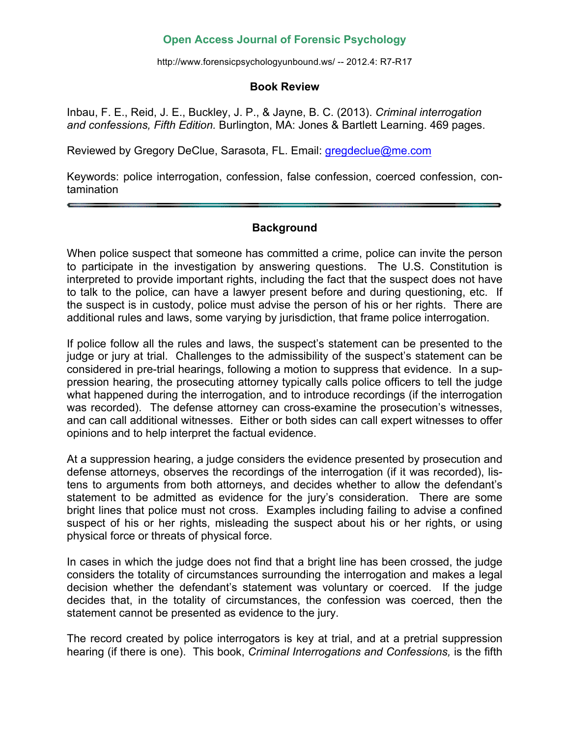### **Open Access Journal of Forensic Psychology**

http://www.forensicpsychologyunbound.ws/ -- 2012.4: R7-R17

#### **Book Review**

Inbau, F. E., Reid, J. E., Buckley, J. P., & Jayne, B. C. (2013). *Criminal interrogation and confessions, Fifth Edition.* Burlington, MA: Jones & Bartlett Learning. 469 pages.

Reviewed by Gregory DeClue, Sarasota, FL. Email: gregdeclue@me.com

Keywords: police interrogation, confession, false confession, coerced confession, contamination

#### **Background**

When police suspect that someone has committed a crime, police can invite the person to participate in the investigation by answering questions. The U.S. Constitution is interpreted to provide important rights, including the fact that the suspect does not have to talk to the police, can have a lawyer present before and during questioning, etc. If the suspect is in custody, police must advise the person of his or her rights. There are additional rules and laws, some varying by jurisdiction, that frame police interrogation.

If police follow all the rules and laws, the suspect's statement can be presented to the judge or jury at trial. Challenges to the admissibility of the suspect's statement can be considered in pre-trial hearings, following a motion to suppress that evidence. In a suppression hearing, the prosecuting attorney typically calls police officers to tell the judge what happened during the interrogation, and to introduce recordings (if the interrogation was recorded). The defense attorney can cross-examine the prosecution's witnesses, and can call additional witnesses. Either or both sides can call expert witnesses to offer opinions and to help interpret the factual evidence.

At a suppression hearing, a judge considers the evidence presented by prosecution and defense attorneys, observes the recordings of the interrogation (if it was recorded), listens to arguments from both attorneys, and decides whether to allow the defendant's statement to be admitted as evidence for the jury's consideration. There are some bright lines that police must not cross. Examples including failing to advise a confined suspect of his or her rights, misleading the suspect about his or her rights, or using physical force or threats of physical force.

In cases in which the judge does not find that a bright line has been crossed, the judge considers the totality of circumstances surrounding the interrogation and makes a legal decision whether the defendant's statement was voluntary or coerced. If the judge decides that, in the totality of circumstances, the confession was coerced, then the statement cannot be presented as evidence to the jury.

The record created by police interrogators is key at trial, and at a pretrial suppression hearing (if there is one). This book, *Criminal Interrogations and Confessions,* is the fifth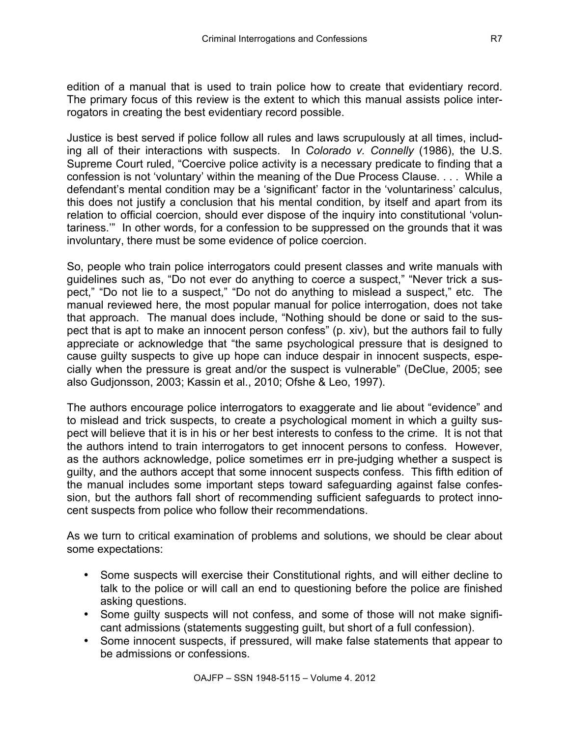edition of a manual that is used to train police how to create that evidentiary record. The primary focus of this review is the extent to which this manual assists police interrogators in creating the best evidentiary record possible.

Justice is best served if police follow all rules and laws scrupulously at all times, including all of their interactions with suspects. In *Colorado v. Connelly* (1986), the U.S. Supreme Court ruled, "Coercive police activity is a necessary predicate to finding that a confession is not 'voluntary' within the meaning of the Due Process Clause. . . . While a defendant's mental condition may be a 'significant' factor in the 'voluntariness' calculus, this does not justify a conclusion that his mental condition, by itself and apart from its relation to official coercion, should ever dispose of the inquiry into constitutional 'voluntariness.'" In other words, for a confession to be suppressed on the grounds that it was involuntary, there must be some evidence of police coercion.

So, people who train police interrogators could present classes and write manuals with guidelines such as, "Do not ever do anything to coerce a suspect," "Never trick a suspect," "Do not lie to a suspect," "Do not do anything to mislead a suspect," etc. The manual reviewed here, the most popular manual for police interrogation, does not take that approach. The manual does include, "Nothing should be done or said to the suspect that is apt to make an innocent person confess" (p. xiv), but the authors fail to fully appreciate or acknowledge that "the same psychological pressure that is designed to cause guilty suspects to give up hope can induce despair in innocent suspects, especially when the pressure is great and/or the suspect is vulnerable" (DeClue, 2005; see also Gudjonsson, 2003; Kassin et al., 2010; Ofshe & Leo, 1997).

The authors encourage police interrogators to exaggerate and lie about "evidence" and to mislead and trick suspects, to create a psychological moment in which a guilty suspect will believe that it is in his or her best interests to confess to the crime. It is not that the authors intend to train interrogators to get innocent persons to confess. However, as the authors acknowledge, police sometimes err in pre-judging whether a suspect is guilty, and the authors accept that some innocent suspects confess. This fifth edition of the manual includes some important steps toward safeguarding against false confession, but the authors fall short of recommending sufficient safeguards to protect innocent suspects from police who follow their recommendations.

As we turn to critical examination of problems and solutions, we should be clear about some expectations:

- Some suspects will exercise their Constitutional rights, and will either decline to talk to the police or will call an end to questioning before the police are finished asking questions.
- Some guilty suspects will not confess, and some of those will not make significant admissions (statements suggesting guilt, but short of a full confession).
- Some innocent suspects, if pressured, will make false statements that appear to be admissions or confessions.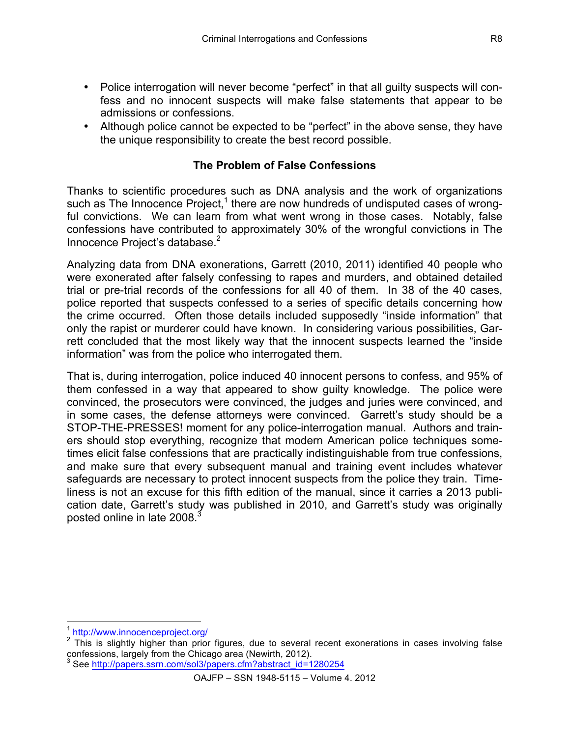- Police interrogation will never become "perfect" in that all guilty suspects will confess and no innocent suspects will make false statements that appear to be admissions or confessions.
- Although police cannot be expected to be "perfect" in the above sense, they have the unique responsibility to create the best record possible.

# **The Problem of False Confessions**

Thanks to scientific procedures such as DNA analysis and the work of organizations such as The Innocence Project, $1$  there are now hundreds of undisputed cases of wrongful convictions. We can learn from what went wrong in those cases. Notably, false confessions have contributed to approximately 30% of the wrongful convictions in The Innocence Project's database.<sup>2</sup>

Analyzing data from DNA exonerations, Garrett (2010, 2011) identified 40 people who were exonerated after falsely confessing to rapes and murders, and obtained detailed trial or pre-trial records of the confessions for all 40 of them. In 38 of the 40 cases, police reported that suspects confessed to a series of specific details concerning how the crime occurred. Often those details included supposedly "inside information" that only the rapist or murderer could have known. In considering various possibilities, Garrett concluded that the most likely way that the innocent suspects learned the "inside information" was from the police who interrogated them.

That is, during interrogation, police induced 40 innocent persons to confess, and 95% of them confessed in a way that appeared to show guilty knowledge. The police were convinced, the prosecutors were convinced, the judges and juries were convinced, and in some cases, the defense attorneys were convinced. Garrett's study should be a STOP-THE-PRESSES! moment for any police-interrogation manual. Authors and trainers should stop everything, recognize that modern American police techniques sometimes elicit false confessions that are practically indistinguishable from true confessions, and make sure that every subsequent manual and training event includes whatever safeguards are necessary to protect innocent suspects from the police they train. Timeliness is not an excuse for this fifth edition of the manual, since it carries a 2013 publication date, Garrett's study was published in 2010, and Garrett's study was originally posted online in late 2008.<sup>3</sup>

<sup>1&</sup>lt;br><sup>1</sup> http://www.innocenceproject.org/

 $2 \overline{}$  This is slightly higher than prior figures, due to several recent exonerations in cases involving false confessions, largely from the Chicago area (Newirth, 2012).

<sup>3</sup> See http://papers.ssrn.com/sol3/papers.cfm?abstract\_id=1280254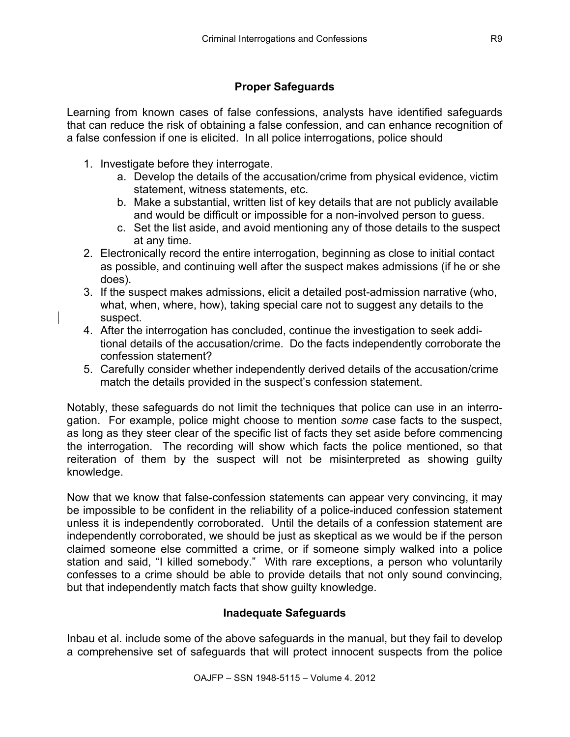# **Proper Safeguards**

Learning from known cases of false confessions, analysts have identified safeguards that can reduce the risk of obtaining a false confession, and can enhance recognition of a false confession if one is elicited. In all police interrogations, police should

- 1. Investigate before they interrogate.
	- a. Develop the details of the accusation/crime from physical evidence, victim statement, witness statements, etc.
	- b. Make a substantial, written list of key details that are not publicly available and would be difficult or impossible for a non-involved person to guess.
	- c. Set the list aside, and avoid mentioning any of those details to the suspect at any time.
- 2. Electronically record the entire interrogation, beginning as close to initial contact as possible, and continuing well after the suspect makes admissions (if he or she does).
- 3. If the suspect makes admissions, elicit a detailed post-admission narrative (who, what, when, where, how), taking special care not to suggest any details to the suspect.
- 4. After the interrogation has concluded, continue the investigation to seek additional details of the accusation/crime. Do the facts independently corroborate the confession statement?
- 5. Carefully consider whether independently derived details of the accusation/crime match the details provided in the suspect's confession statement.

Notably, these safeguards do not limit the techniques that police can use in an interrogation. For example, police might choose to mention *some* case facts to the suspect, as long as they steer clear of the specific list of facts they set aside before commencing the interrogation. The recording will show which facts the police mentioned, so that reiteration of them by the suspect will not be misinterpreted as showing guilty knowledge.

Now that we know that false-confession statements can appear very convincing, it may be impossible to be confident in the reliability of a police-induced confession statement unless it is independently corroborated. Until the details of a confession statement are independently corroborated, we should be just as skeptical as we would be if the person claimed someone else committed a crime, or if someone simply walked into a police station and said, "I killed somebody." With rare exceptions, a person who voluntarily confesses to a crime should be able to provide details that not only sound convincing, but that independently match facts that show guilty knowledge.

# **Inadequate Safeguards**

Inbau et al. include some of the above safeguards in the manual, but they fail to develop a comprehensive set of safeguards that will protect innocent suspects from the police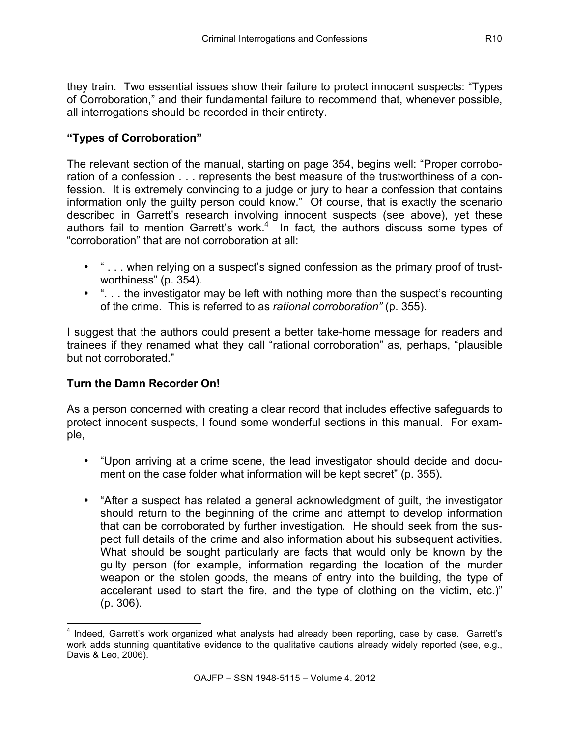they train. Two essential issues show their failure to protect innocent suspects: "Types of Corroboration," and their fundamental failure to recommend that, whenever possible, all interrogations should be recorded in their entirety.

# **"Types of Corroboration"**

The relevant section of the manual, starting on page 354, begins well: "Proper corroboration of a confession . . . represents the best measure of the trustworthiness of a confession. It is extremely convincing to a judge or jury to hear a confession that contains information only the guilty person could know." Of course, that is exactly the scenario described in Garrett's research involving innocent suspects (see above), yet these authors fail to mention Garrett's work.<sup>4</sup> In fact, the authors discuss some types of "corroboration" that are not corroboration at all:

- "... when relying on a suspect's signed confession as the primary proof of trustworthiness" (p. 354).
- "... the investigator may be left with nothing more than the suspect's recounting of the crime. This is referred to as *rational corroboration"* (p. 355).

I suggest that the authors could present a better take-home message for readers and trainees if they renamed what they call "rational corroboration" as, perhaps, "plausible but not corroborated."

# **Turn the Damn Recorder On!**

As a person concerned with creating a clear record that includes effective safeguards to protect innocent suspects, I found some wonderful sections in this manual. For example,

- "Upon arriving at a crime scene, the lead investigator should decide and document on the case folder what information will be kept secret" (p. 355).
- "After a suspect has related a general acknowledgment of guilt, the investigator should return to the beginning of the crime and attempt to develop information that can be corroborated by further investigation. He should seek from the suspect full details of the crime and also information about his subsequent activities. What should be sought particularly are facts that would only be known by the guilty person (for example, information regarding the location of the murder weapon or the stolen goods, the means of entry into the building, the type of accelerant used to start the fire, and the type of clothing on the victim, etc.)" (p. 306).

<sup>&</sup>lt;sup>4</sup> Indeed, Garrett's work organized what analysts had already been reporting, case by case. Garrett's work adds stunning quantitative evidence to the qualitative cautions already widely reported (see, e.g., Davis & Leo, 2006).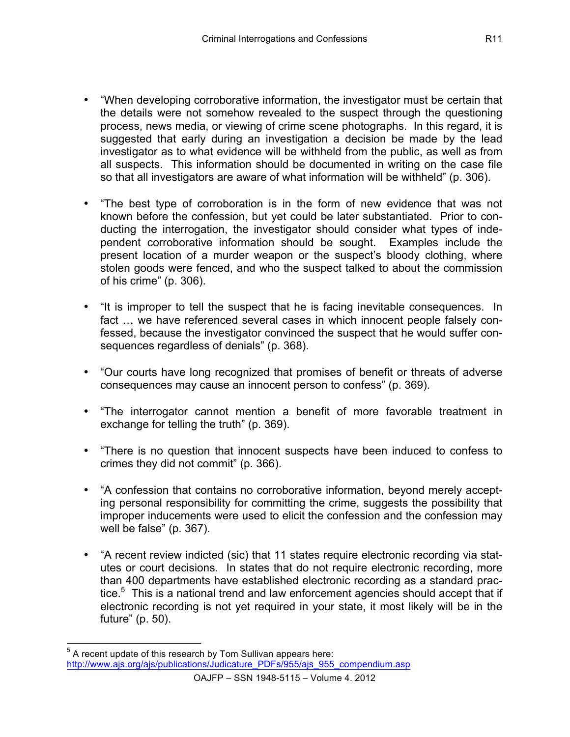- "When developing corroborative information, the investigator must be certain that the details were not somehow revealed to the suspect through the questioning process, news media, or viewing of crime scene photographs. In this regard, it is suggested that early during an investigation a decision be made by the lead investigator as to what evidence will be withheld from the public, as well as from all suspects. This information should be documented in writing on the case file so that all investigators are aware of what information will be withheld" (p. 306).
- "The best type of corroboration is in the form of new evidence that was not known before the confession, but yet could be later substantiated. Prior to conducting the interrogation, the investigator should consider what types of independent corroborative information should be sought. Examples include the present location of a murder weapon or the suspect's bloody clothing, where stolen goods were fenced, and who the suspect talked to about the commission of his crime" (p. 306).
- "It is improper to tell the suspect that he is facing inevitable consequences. In fact … we have referenced several cases in which innocent people falsely confessed, because the investigator convinced the suspect that he would suffer consequences regardless of denials" (p. 368).
- "Our courts have long recognized that promises of benefit or threats of adverse consequences may cause an innocent person to confess" (p. 369).
- "The interrogator cannot mention a benefit of more favorable treatment in exchange for telling the truth" (p. 369).
- "There is no question that innocent suspects have been induced to confess to crimes they did not commit" (p. 366).
- "A confession that contains no corroborative information, beyond merely accepting personal responsibility for committing the crime, suggests the possibility that improper inducements were used to elicit the confession and the confession may well be false" (p. 367).
- "A recent review indicted (sic) that 11 states require electronic recording via statutes or court decisions. In states that do not require electronic recording, more than 400 departments have established electronic recording as a standard practice.<sup>5</sup> This is a national trend and law enforcement agencies should accept that if electronic recording is not yet required in your state, it most likely will be in the future" (p. 50).

 $5$  A recent update of this research by Tom Sullivan appears here: http://www.ajs.org/ajs/publications/Judicature\_PDFs/955/ajs\_955\_compendium.asp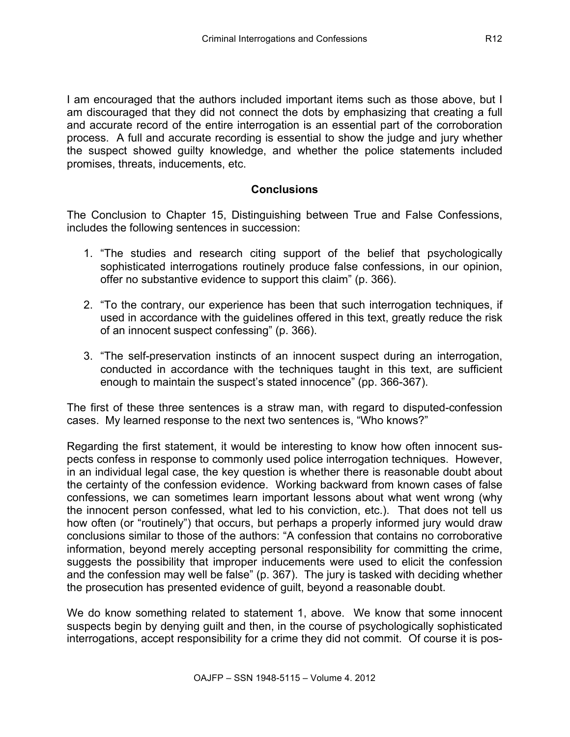I am encouraged that the authors included important items such as those above, but I am discouraged that they did not connect the dots by emphasizing that creating a full and accurate record of the entire interrogation is an essential part of the corroboration process. A full and accurate recording is essential to show the judge and jury whether the suspect showed guilty knowledge, and whether the police statements included promises, threats, inducements, etc.

## **Conclusions**

The Conclusion to Chapter 15, Distinguishing between True and False Confessions, includes the following sentences in succession:

- 1. "The studies and research citing support of the belief that psychologically sophisticated interrogations routinely produce false confessions, in our opinion, offer no substantive evidence to support this claim" (p. 366).
- 2. "To the contrary, our experience has been that such interrogation techniques, if used in accordance with the guidelines offered in this text, greatly reduce the risk of an innocent suspect confessing" (p. 366).
- 3. "The self-preservation instincts of an innocent suspect during an interrogation, conducted in accordance with the techniques taught in this text, are sufficient enough to maintain the suspect's stated innocence" (pp. 366-367).

The first of these three sentences is a straw man, with regard to disputed-confession cases. My learned response to the next two sentences is, "Who knows?"

Regarding the first statement, it would be interesting to know how often innocent suspects confess in response to commonly used police interrogation techniques. However, in an individual legal case, the key question is whether there is reasonable doubt about the certainty of the confession evidence. Working backward from known cases of false confessions, we can sometimes learn important lessons about what went wrong (why the innocent person confessed, what led to his conviction, etc.). That does not tell us how often (or "routinely") that occurs, but perhaps a properly informed jury would draw conclusions similar to those of the authors: "A confession that contains no corroborative information, beyond merely accepting personal responsibility for committing the crime, suggests the possibility that improper inducements were used to elicit the confession and the confession may well be false" (p. 367). The jury is tasked with deciding whether the prosecution has presented evidence of guilt, beyond a reasonable doubt.

We do know something related to statement 1, above. We know that some innocent suspects begin by denying guilt and then, in the course of psychologically sophisticated interrogations, accept responsibility for a crime they did not commit. Of course it is pos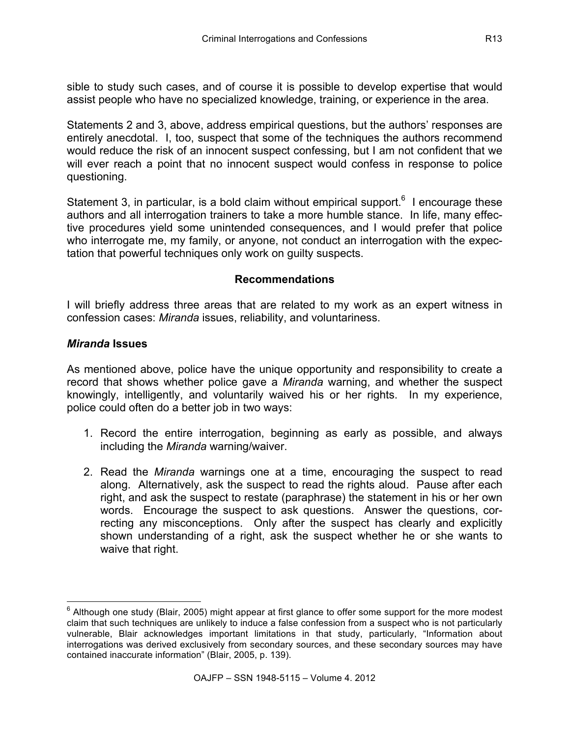sible to study such cases, and of course it is possible to develop expertise that would assist people who have no specialized knowledge, training, or experience in the area.

Statements 2 and 3, above, address empirical questions, but the authors' responses are entirely anecdotal. I, too, suspect that some of the techniques the authors recommend would reduce the risk of an innocent suspect confessing, but I am not confident that we will ever reach a point that no innocent suspect would confess in response to police questioning.

Statement 3, in particular, is a bold claim without empirical support. $6$  I encourage these authors and all interrogation trainers to take a more humble stance. In life, many effective procedures yield some unintended consequences, and I would prefer that police who interrogate me, my family, or anyone, not conduct an interrogation with the expectation that powerful techniques only work on guilty suspects.

### **Recommendations**

I will briefly address three areas that are related to my work as an expert witness in confession cases: *Miranda* issues, reliability, and voluntariness.

#### *Miranda* **Issues**

As mentioned above, police have the unique opportunity and responsibility to create a record that shows whether police gave a *Miranda* warning, and whether the suspect knowingly, intelligently, and voluntarily waived his or her rights. In my experience, police could often do a better job in two ways:

- 1. Record the entire interrogation, beginning as early as possible, and always including the *Miranda* warning/waiver.
- 2. Read the *Miranda* warnings one at a time, encouraging the suspect to read along. Alternatively, ask the suspect to read the rights aloud. Pause after each right, and ask the suspect to restate (paraphrase) the statement in his or her own words. Encourage the suspect to ask questions. Answer the questions, correcting any misconceptions. Only after the suspect has clearly and explicitly shown understanding of a right, ask the suspect whether he or she wants to waive that right.

 $6$  Although one study (Blair, 2005) might appear at first glance to offer some support for the more modest claim that such techniques are unlikely to induce a false confession from a suspect who is not particularly vulnerable, Blair acknowledges important limitations in that study, particularly, "Information about interrogations was derived exclusively from secondary sources, and these secondary sources may have contained inaccurate information" (Blair, 2005, p. 139).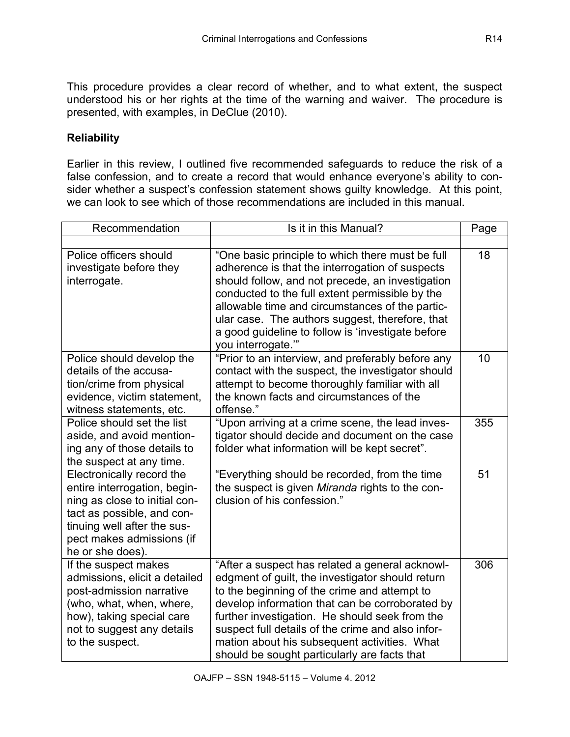This procedure provides a clear record of whether, and to what extent, the suspect understood his or her rights at the time of the warning and waiver. The procedure is presented, with examples, in DeClue (2010).

## **Reliability**

Earlier in this review, I outlined five recommended safeguards to reduce the risk of a false confession, and to create a record that would enhance everyone's ability to consider whether a suspect's confession statement shows guilty knowledge. At this point, we can look to see which of those recommendations are included in this manual.

| Recommendation                                                                                                                                                                                           | Is it in this Manual?                                                                                                                                                                                                                                                                                                                                                                                         | Page |
|----------------------------------------------------------------------------------------------------------------------------------------------------------------------------------------------------------|---------------------------------------------------------------------------------------------------------------------------------------------------------------------------------------------------------------------------------------------------------------------------------------------------------------------------------------------------------------------------------------------------------------|------|
|                                                                                                                                                                                                          |                                                                                                                                                                                                                                                                                                                                                                                                               |      |
| Police officers should<br>investigate before they<br>interrogate.                                                                                                                                        | "One basic principle to which there must be full<br>adherence is that the interrogation of suspects<br>should follow, and not precede, an investigation<br>conducted to the full extent permissible by the<br>allowable time and circumstances of the partic-<br>ular case. The authors suggest, therefore, that<br>a good guideline to follow is 'investigate before<br>you interrogate."                    | 18   |
| Police should develop the<br>details of the accusa-<br>tion/crime from physical<br>evidence, victim statement,<br>witness statements, etc.                                                               | "Prior to an interview, and preferably before any<br>contact with the suspect, the investigator should<br>attempt to become thoroughly familiar with all<br>the known facts and circumstances of the<br>offense."                                                                                                                                                                                             | 10   |
| Police should set the list<br>aside, and avoid mention-<br>ing any of those details to<br>the suspect at any time.                                                                                       | "Upon arriving at a crime scene, the lead inves-<br>tigator should decide and document on the case<br>folder what information will be kept secret".                                                                                                                                                                                                                                                           | 355  |
| Electronically record the<br>entire interrogation, begin-<br>ning as close to initial con-<br>tact as possible, and con-<br>tinuing well after the sus-<br>pect makes admissions (if<br>he or she does). | "Everything should be recorded, from the time<br>the suspect is given <i>Miranda</i> rights to the con-<br>clusion of his confession."                                                                                                                                                                                                                                                                        | 51   |
| If the suspect makes<br>admissions, elicit a detailed<br>post-admission narrative<br>(who, what, when, where,<br>how), taking special care<br>not to suggest any details<br>to the suspect.              | "After a suspect has related a general acknowl-<br>edgment of guilt, the investigator should return<br>to the beginning of the crime and attempt to<br>develop information that can be corroborated by<br>further investigation. He should seek from the<br>suspect full details of the crime and also infor-<br>mation about his subsequent activities. What<br>should be sought particularly are facts that | 306  |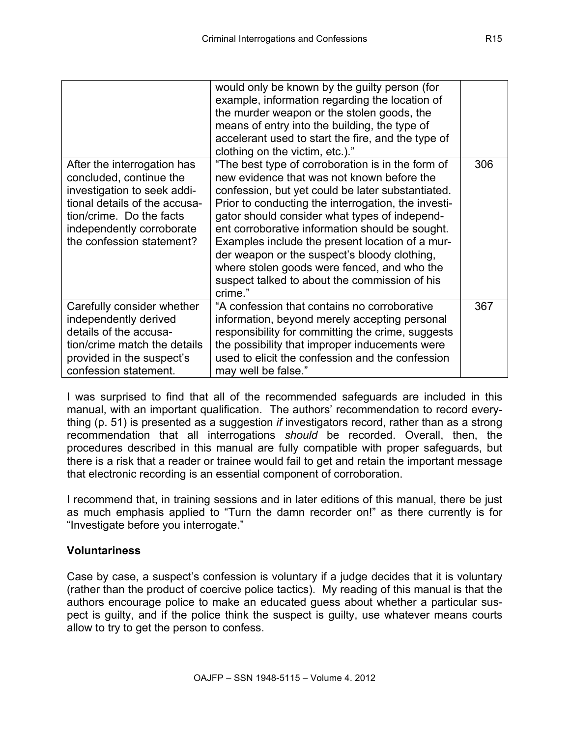|                                                                                                                                                                                                              | would only be known by the guilty person (for<br>example, information regarding the location of<br>the murder weapon or the stolen goods, the<br>means of entry into the building, the type of<br>accelerant used to start the fire, and the type of<br>clothing on the victim, etc.)."                                                                                                                                                                                                                                       |     |
|--------------------------------------------------------------------------------------------------------------------------------------------------------------------------------------------------------------|-------------------------------------------------------------------------------------------------------------------------------------------------------------------------------------------------------------------------------------------------------------------------------------------------------------------------------------------------------------------------------------------------------------------------------------------------------------------------------------------------------------------------------|-----|
| After the interrogation has<br>concluded, continue the<br>investigation to seek addi-<br>tional details of the accusa-<br>tion/crime. Do the facts<br>independently corroborate<br>the confession statement? | "The best type of corroboration is in the form of<br>new evidence that was not known before the<br>confession, but yet could be later substantiated.<br>Prior to conducting the interrogation, the investi-<br>gator should consider what types of independ-<br>ent corroborative information should be sought.<br>Examples include the present location of a mur-<br>der weapon or the suspect's bloody clothing,<br>where stolen goods were fenced, and who the<br>suspect talked to about the commission of his<br>crime." | 306 |
| Carefully consider whether<br>independently derived<br>details of the accusa-<br>tion/crime match the details<br>provided in the suspect's<br>confession statement.                                          | "A confession that contains no corroborative<br>information, beyond merely accepting personal<br>responsibility for committing the crime, suggests<br>the possibility that improper inducements were<br>used to elicit the confession and the confession<br>may well be false."                                                                                                                                                                                                                                               | 367 |

I was surprised to find that all of the recommended safeguards are included in this manual, with an important qualification. The authors' recommendation to record everything (p. 51) is presented as a suggestion *if* investigators record, rather than as a strong recommendation that all interrogations *should* be recorded. Overall, then, the procedures described in this manual are fully compatible with proper safeguards, but there is a risk that a reader or trainee would fail to get and retain the important message that electronic recording is an essential component of corroboration.

I recommend that, in training sessions and in later editions of this manual, there be just as much emphasis applied to "Turn the damn recorder on!" as there currently is for "Investigate before you interrogate."

### **Voluntariness**

Case by case, a suspect's confession is voluntary if a judge decides that it is voluntary (rather than the product of coercive police tactics). My reading of this manual is that the authors encourage police to make an educated guess about whether a particular suspect is guilty, and if the police think the suspect is guilty, use whatever means courts allow to try to get the person to confess.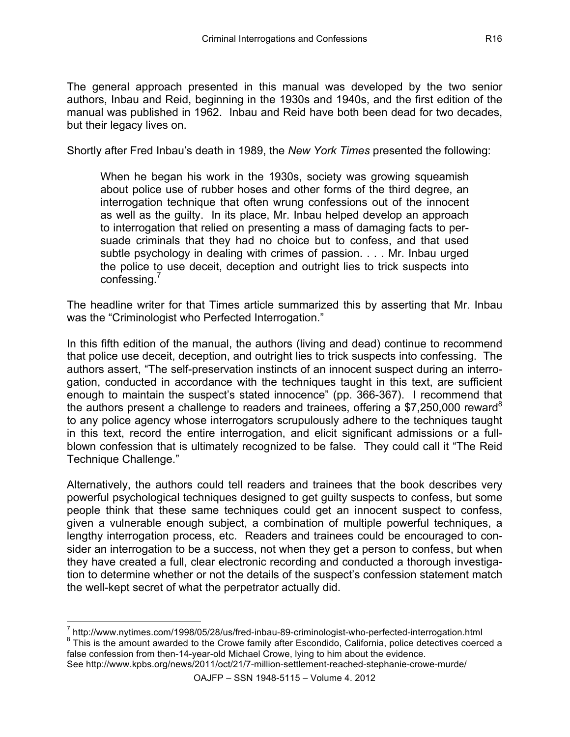The general approach presented in this manual was developed by the two senior authors, Inbau and Reid, beginning in the 1930s and 1940s, and the first edition of the manual was published in 1962. Inbau and Reid have both been dead for two decades, but their legacy lives on.

Shortly after Fred Inbau's death in 1989, the *New York Times* presented the following:

When he began his work in the 1930s, society was growing squeamish about police use of rubber hoses and other forms of the third degree, an interrogation technique that often wrung confessions out of the innocent as well as the guilty. In its place, Mr. Inbau helped develop an approach to interrogation that relied on presenting a mass of damaging facts to persuade criminals that they had no choice but to confess, and that used subtle psychology in dealing with crimes of passion. . . . Mr. Inbau urged the police to use deceit, deception and outright lies to trick suspects into confessing.

The headline writer for that Times article summarized this by asserting that Mr. Inbau was the "Criminologist who Perfected Interrogation."

In this fifth edition of the manual, the authors (living and dead) continue to recommend that police use deceit, deception, and outright lies to trick suspects into confessing. The authors assert, "The self-preservation instincts of an innocent suspect during an interrogation, conducted in accordance with the techniques taught in this text, are sufficient enough to maintain the suspect's stated innocence" (pp. 366-367). I recommend that the authors present a challenge to readers and trainees, offering a \$7,250,000 reward<sup>8</sup> to any police agency whose interrogators scrupulously adhere to the techniques taught in this text, record the entire interrogation, and elicit significant admissions or a fullblown confession that is ultimately recognized to be false. They could call it "The Reid Technique Challenge."

Alternatively, the authors could tell readers and trainees that the book describes very powerful psychological techniques designed to get guilty suspects to confess, but some people think that these same techniques could get an innocent suspect to confess, given a vulnerable enough subject, a combination of multiple powerful techniques, a lengthy interrogation process, etc. Readers and trainees could be encouraged to consider an interrogation to be a success, not when they get a person to confess, but when they have created a full, clear electronic recording and conducted a thorough investigation to determine whether or not the details of the suspect's confession statement match the well-kept secret of what the perpetrator actually did.

See http://www.kpbs.org/news/2011/oct/21/7-million-settlement-reached-stephanie-crowe-murde/

 $\frac{7}{8}$  http://www.nytimes.com/1998/05/28/us/fred-inbau-89-criminologist-who-perfected-interrogation.html  $\frac{8}{8}$  This is the amount awarded to the Crowe family after Escondido, California, police detectives coerced a false confession from then-14-year-old Michael Crowe, lying to him about the evidence.